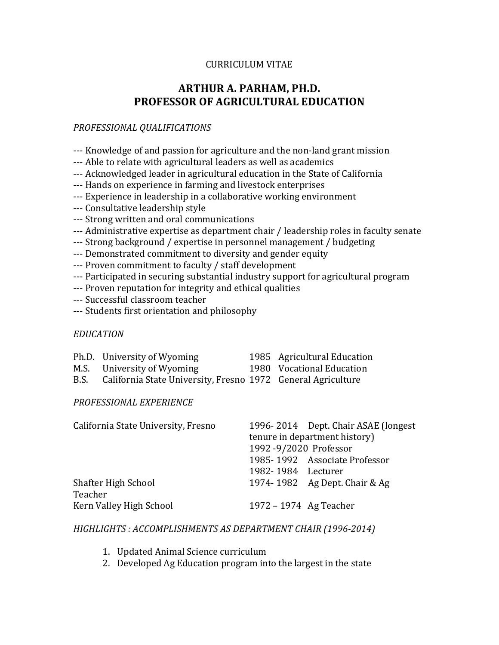# CURRICULUM VITAE

# **ARTHUR A. PARHAM, PH.D. PROFESSOR OF AGRICULTURAL EDUCATION**

#### *PROFESSIONAL QUALIFICATIONS*

- --- Knowledge of and passion for agriculture and the non-land grant mission
- --- Able to relate with agricultural leaders as well as academics
- --- Acknowledged leader in agricultural education in the State of California
- --- Hands on experience in farming and livestock enterprises
- --- Experience in leadership in a collaborative working environment
- --- Consultative leadership style
- --- Strong written and oral communications
- $-$ -- Administrative expertise as department chair / leadership roles in faculty senate
- --- Strong background / expertise in personnel management / budgeting
- --- Demonstrated commitment to diversity and gender equity
- --- Proven commitment to faculty / staff development
- --- Participated in securing substantial industry support for agricultural program
- --- Proven reputation for integrity and ethical qualities
- --- Successful classroom teacher
- --- Students first orientation and philosophy

# *EDUCATION*

| Ph.D. University of Wyoming | 1985 Agricultural Education |
|-----------------------------|-----------------------------|
| M.S. University of Wyoming  | 1980 Vocational Education   |

B.S. California State University, Fresno 1972 General Agriculture

#### *PROFESSIONAL EXPERIENCE*

| California State University, Fresno | 1996-2014 Dept. Chair ASAE (longest) |
|-------------------------------------|--------------------------------------|
|                                     | tenure in department history)        |
|                                     | 1992-9/2020 Professor                |
|                                     | 1985-1992 Associate Professor        |
|                                     | 1982-1984 Lecturer                   |
| <b>Shafter High School</b>          | 1974-1982 Ag Dept. Chair & Ag        |
| Teacher                             |                                      |
| Kern Valley High School             | 1972 – 1974 Ag Teacher               |

#### *HIGHLIGHTS : ACCOMPLISHMENTS AS DEPARTMENT CHAIR (1996‐2014)*

- 1. Updated Animal Science curriculum
- 2. Developed Ag Education program into the largest in the state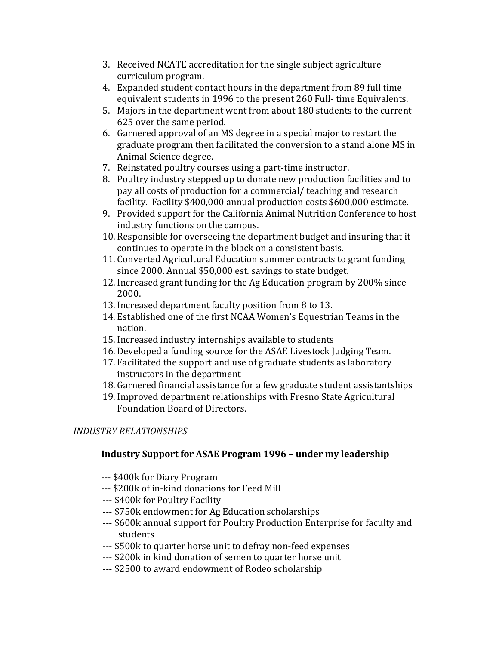- 3. Received NCATE accreditation for the single subject agriculture curriculum program.
- 4. Expanded student contact hours in the department from 89 full time equivalent students in 1996 to the present 260 Full- time Equivalents.
- 5. Majors in the department went from about 180 students to the current 625 over the same period.
- 6. Garnered approval of an MS degree in a special major to restart the graduate program then facilitated the conversion to a stand alone MS in Animal Science degree.
- 7. Reinstated poultry courses using a part-time instructor.
- 8. Poultry industry stepped up to donate new production facilities and to pay all costs of production for a commercial/ teaching and research facility. Facility \$400,000 annual production costs \$600,000 estimate.
- 9. Provided support for the California Animal Nutrition Conference to host industry functions on the campus.
- 10. Responsible for overseeing the department budget and insuring that it continues to operate in the black on a consistent basis.
- 11. Converted Agricultural Education summer contracts to grant funding since 2000. Annual \$50,000 est. savings to state budget.
- 12. Increased grant funding for the Ag Education program by 200% since 2000.
- 13. Increased department faculty position from 8 to 13.
- 14. Established one of the first NCAA Women's Equestrian Teams in the nation.
- 15. Increased industry internships available to students
- 16. Developed a funding source for the ASAE Livestock Judging Team.
- 17. Facilitated the support and use of graduate students as laboratory instructors in the department
- 18. Garnered financial assistance for a few graduate student assistantships
- 19. Improved department relationships with Fresno State Agricultural Foundation Board of Directors.

# *INDUSTRY RELATIONSHIPS*

# **Industry Support for ASAE Program 1996 – under my leadership**

- --- \$400k for Diary Program
- --- \$200k of in-kind donations for Feed Mill
- --- \$400k for Poultry Facility
- --- \$750k endowment for Ag Education scholarships
- --- \$600k annual support for Poultry Production Enterprise for faculty and students
- --- \$500k to quarter horse unit to defray non-feed expenses
- --- \$200k in kind donation of semen to quarter horse unit
- --- \$2500 to award endowment of Rodeo scholarship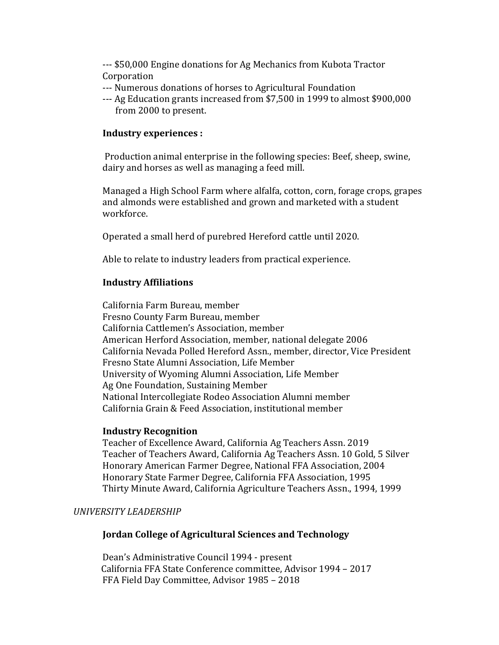--- \$50,000 Engine donations for Ag Mechanics from Kubota Tractor Corporation 

- --- Numerous donations of horses to Agricultural Foundation
- --- Ag Education grants increased from \$7,500 in 1999 to almost \$900,000 from 2000 to present.

### **Industry experiences :**

Production animal enterprise in the following species: Beef, sheep, swine, dairy and horses as well as managing a feed mill.

Managed a High School Farm where alfalfa, cotton, corn, forage crops, grapes and almonds were established and grown and marketed with a student workforce. 

Operated a small herd of purebred Hereford cattle until 2020.

Able to relate to industry leaders from practical experience.

### **Industry Affiliations**

 California Farm Bureau, member Fresno County Farm Bureau, member California Cattlemen's Association, member American Herford Association, member, national delegate 2006 California Nevada Polled Hereford Assn., member, director, Vice President Fresno State Alumni Association, Life Member University of Wyoming Alumni Association, Life Member Ag One Foundation, Sustaining Member National Intercollegiate Rodeo Association Alumni member California Grain & Feed Association, institutional member

#### **Industry Recognition**

Teacher of Excellence Award, California Ag Teachers Assn. 2019 Teacher of Teachers Award, California Ag Teachers Assn. 10 Gold, 5 Silver Honorary American Farmer Degree, National FFA Association, 2004 Honorary State Farmer Degree, California FFA Association, 1995 Thirty Minute Award, California Agriculture Teachers Assn., 1994, 1999

# *UNIVERSITY LEADERSHIP*

# **Jordan College of Agricultural Sciences and Technology**

Dean's Administrative Council 1994 - present California FFA State Conference committee, Advisor 1994 - 2017 FFA Field Day Committee, Advisor 1985 - 2018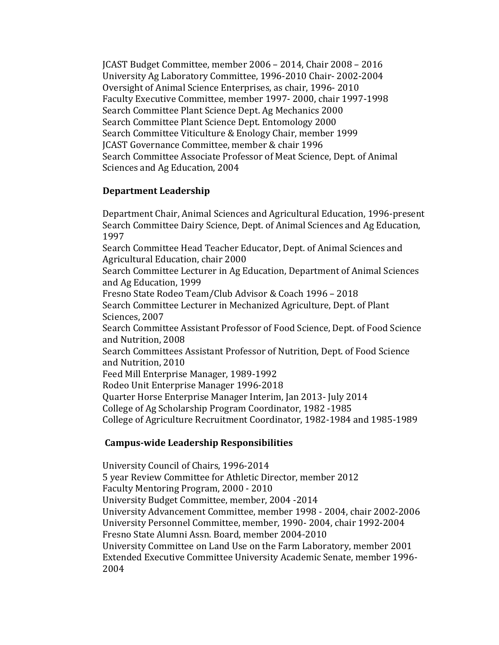JCAST Budget Committee, member 2006 – 2014, Chair 2008 – 2016 University Ag Laboratory Committee, 1996-2010 Chair- 2002-2004 Oversight of Animal Science Enterprises, as chair, 1996-2010 Faculty Executive Committee, member 1997- 2000, chair 1997-1998 Search Committee Plant Science Dept. Ag Mechanics 2000 Search Committee Plant Science Dept. Entomology 2000 Search Committee Viticulture & Enology Chair, member 1999 JCAST Governance Committee, member & chair 1996 Search Committee Associate Professor of Meat Science, Dept. of Animal Sciences and Ag Education, 2004

### **Department Leadership**

Department Chair, Animal Sciences and Agricultural Education, 1996-present Search Committee Dairy Science, Dept. of Animal Sciences and Ag Education, 1997 Search Committee Head Teacher Educator, Dept. of Animal Sciences and Agricultural Education, chair 2000 Search Committee Lecturer in Ag Education, Department of Animal Sciences and Ag Education, 1999 Fresno State Rodeo Team/Club Advisor & Coach 1996 - 2018 Search Committee Lecturer in Mechanized Agriculture, Dept. of Plant Sciences, 2007 Search Committee Assistant Professor of Food Science, Dept. of Food Science and Nutrition, 2008 Search Committees Assistant Professor of Nutrition, Dept. of Food Science and Nutrition, 2010 Feed Mill Enterprise Manager, 1989-1992 Rodeo Unit Enterprise Manager 1996-2018 Quarter Horse Enterprise Manager Interim, Jan 2013- July 2014 College of Ag Scholarship Program Coordinator, 1982 -1985 College of Agriculture Recruitment Coordinator, 1982-1984 and 1985-1989

#### **Campus‐wide Leadership Responsibilities**

University Council of Chairs, 1996-2014 5 year Review Committee for Athletic Director, member 2012 Faculty Mentoring Program, 2000 - 2010 University Budget Committee, member, 2004 -2014 University Advancement Committee, member 1998 - 2004, chair 2002-2006 University Personnel Committee, member, 1990- 2004, chair 1992-2004 Fresno State Alumni Assn. Board, member 2004-2010 University Committee on Land Use on the Farm Laboratory, member 2001 Extended Executive Committee University Academic Senate, member 1996-2004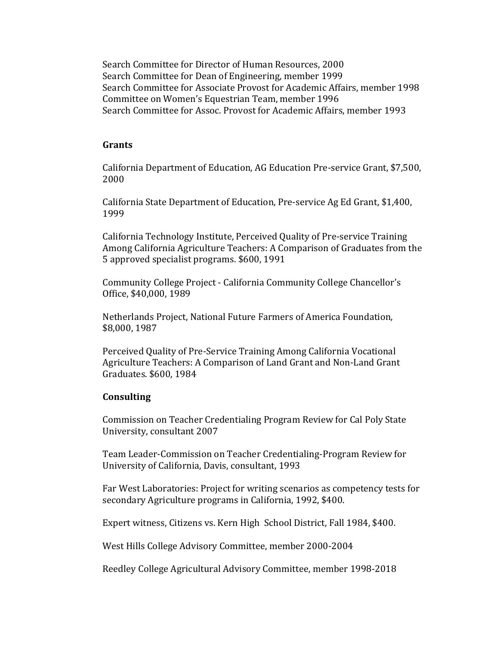Search Committee for Director of Human Resources, 2000 Search Committee for Dean of Engineering, member 1999 Search Committee for Associate Provost for Academic Affairs, member 1998 Committee on Women's Equestrian Team, member 1996 Search Committee for Assoc. Provost for Academic Affairs, member 1993

#### **Grants**

California Department of Education, AG Education Pre-service Grant, \$7,500, 2000 

California State Department of Education, Pre-service Ag Ed Grant, \$1,400, 1999 

California Technology Institute, Perceived Quality of Pre-service Training Among California Agriculture Teachers: A Comparison of Graduates from the 5 approved specialist programs. \$600, 1991

Community College Project - California Community College Chancellor's Office, \$40,000, 1989

Netherlands Project, National Future Farmers of America Foundation, \$8,000, 1987

Perceived Quality of Pre-Service Training Among California Vocational Agriculture Teachers: A Comparison of Land Grant and Non-Land Grant Graduates. \$600, 1984 

#### **Consulting**

Commission on Teacher Credentialing Program Review for Cal Poly State University, consultant 2007

Team Leader-Commission on Teacher Credentialing-Program Review for University of California, Davis, consultant, 1993

Far West Laboratories: Project for writing scenarios as competency tests for secondary Agriculture programs in California, 1992, \$400.

Expert witness, Citizens vs. Kern High School District, Fall 1984, \$400.

West Hills College Advisory Committee, member 2000-2004

Reedley College Agricultural Advisory Committee, member 1998-2018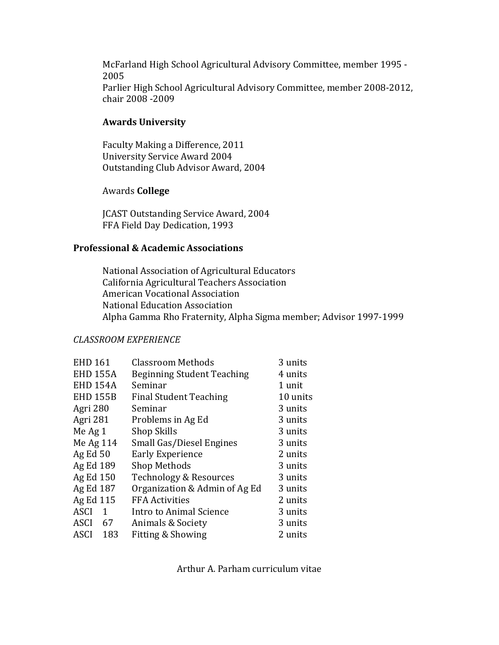McFarland High School Agricultural Advisory Committee, member 1995 -2005 Parlier High School Agricultural Advisory Committee, member 2008-2012, chair 2008 ‐2009 

### **Awards University**

Faculty Making a Difference, 2011 University Service Award 2004 Outstanding Club Advisor Award, 2004

### Awards **College**

JCAST Outstanding Service Award, 2004 FFA Field Day Dedication, 1993

### **Professional & Academic Associations**

National Association of Agricultural Educators California Agricultural Teachers Association American Vocational Association National Education Association Alpha Gamma Rho Fraternity, Alpha Sigma member; Advisor 1997-1999

# *CLASSROOM EXPERIENCE*

| <b>EHD 161</b>     | <b>Classroom Methods</b>          | 3 units  |
|--------------------|-----------------------------------|----------|
| <b>EHD 155A</b>    | <b>Beginning Student Teaching</b> | 4 units  |
| <b>EHD 154A</b>    | Seminar                           | 1 unit   |
| <b>EHD 155B</b>    | <b>Final Student Teaching</b>     | 10 units |
| Agri 280           | Seminar                           | 3 units  |
| Agri 281           | Problems in Ag Ed                 | 3 units  |
| Me Ag 1            | <b>Shop Skills</b>                | 3 units  |
| Me Ag 114          | Small Gas/Diesel Engines          | 3 units  |
| Ag Ed 50           | <b>Early Experience</b>           | 2 units  |
| Ag Ed 189          | <b>Shop Methods</b>               | 3 units  |
| Ag Ed 150          | Technology & Resources            | 3 units  |
| Ag Ed 187          | Organization & Admin of Ag Ed     | 3 units  |
| Ag Ed 115          | <b>FFA Activities</b>             | 2 units  |
| ASCI<br>1          | Intro to Animal Science           | 3 units  |
| ASCI<br>67         | Animals & Society                 | 3 units  |
| <b>ASCI</b><br>183 | Fitting & Showing                 | 2 units  |

Arthur A. Parham curriculum vitae